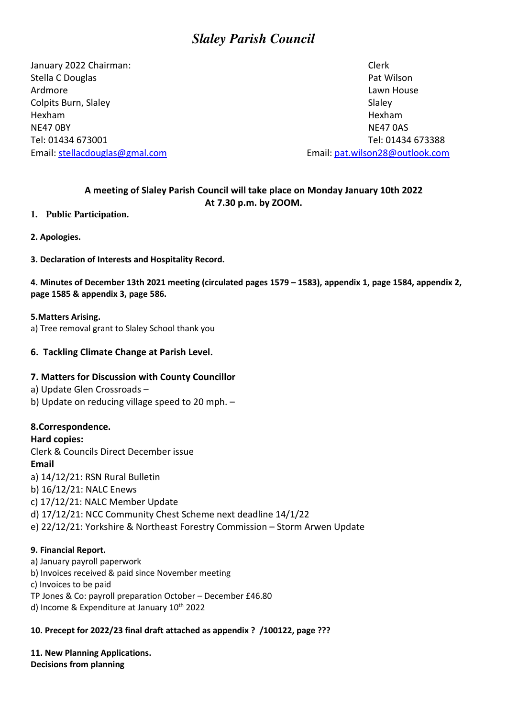# *Slaley Parish Council*

January 2022 Chairman: Clerk Stella C Douglas **Pat Wilson** Pat Wilson Ardmore **Lawn House** Colpits Burn, Slaley Slate Colpits Burn, Slaley Hexham Hexham NE47 OBY NE47 OAS Email: stellacdouglas@gmal.com Email: pat.wilson28@outlook.com

Tel: 01434 673001 Tel: 01434 673388

# **A meeting of Slaley Parish Council will take place on Monday January 10th 2022 At 7.30 p.m. by ZOOM.**

# **1. Public Participation.**

- **2. Apologies.**
- **3. Declaration of Interests and Hospitality Record.**

**4. Minutes of December 13th 2021 meeting (circulated pages 1579 – 1583), appendix 1, page 1584, appendix 2, page 1585 & appendix 3, page 586.** 

#### **5.Matters Arising.**

a) Tree removal grant to Slaley School thank you

# **6. Tackling Climate Change at Parish Level.**

# **7. Matters for Discussion with County Councillor**

- a) Update Glen Crossroads –
- b) Update on reducing village speed to 20 mph. –

# **8.Correspondence.**

**Hard copies:**  Clerk & Councils Direct December issue **Email**  a) 14/12/21: RSN Rural Bulletin b) 16/12/21: NALC Enews c) 17/12/21: NALC Member Update d) 17/12/21: NCC Community Chest Scheme next deadline 14/1/22 e) 22/12/21: Yorkshire & Northeast Forestry Commission – Storm Arwen Update

# **9. Financial Report.**

- a) January payroll paperwork
- b) Invoices received & paid since November meeting
- c) Invoices to be paid
- TP Jones & Co: payroll preparation October December £46.80
- d) Income & Expenditure at January  $10^{th}$  2022

# **10. Precept for 2022/23 final draft attached as appendix ? /100122, page ???**

**11. New Planning Applications. Decisions from planning**